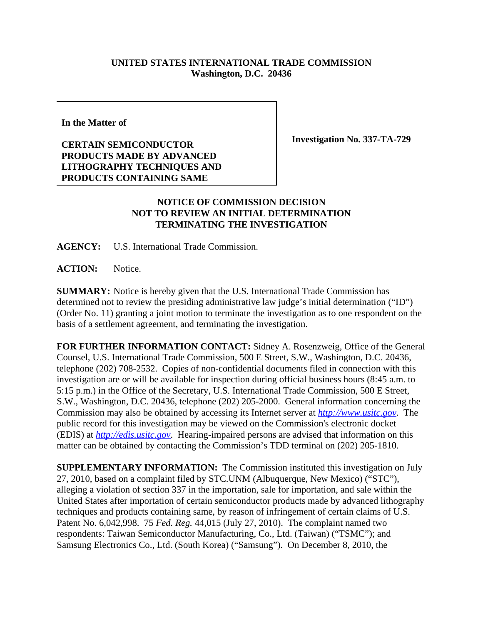## **UNITED STATES INTERNATIONAL TRADE COMMISSION Washington, D.C. 20436**

**In the Matter of**

## **CERTAIN SEMICONDUCTOR PRODUCTS MADE BY ADVANCED LITHOGRAPHY TECHNIQUES AND PRODUCTS CONTAINING SAME**

**Investigation No. 337-TA-729**

## **NOTICE OF COMMISSION DECISION NOT TO REVIEW AN INITIAL DETERMINATION TERMINATING THE INVESTIGATION**

**AGENCY:** U.S. International Trade Commission.

**ACTION:** Notice.

**SUMMARY:** Notice is hereby given that the U.S. International Trade Commission has determined not to review the presiding administrative law judge's initial determination ("ID") (Order No. 11) granting a joint motion to terminate the investigation as to one respondent on the basis of a settlement agreement, and terminating the investigation.

**FOR FURTHER INFORMATION CONTACT:** Sidney A. Rosenzweig, Office of the General Counsel, U.S. International Trade Commission, 500 E Street, S.W., Washington, D.C. 20436, telephone (202) 708-2532. Copies of non-confidential documents filed in connection with this investigation are or will be available for inspection during official business hours (8:45 a.m. to 5:15 p.m.) in the Office of the Secretary, U.S. International Trade Commission, 500 E Street, S.W., Washington, D.C. 20436, telephone (202) 205-2000. General information concerning the Commission may also be obtained by accessing its Internet server at *http://www.usitc.gov*. The public record for this investigation may be viewed on the Commission's electronic docket (EDIS) at *http://edis.usitc.gov*. Hearing-impaired persons are advised that information on this matter can be obtained by contacting the Commission's TDD terminal on (202) 205-1810.

**SUPPLEMENTARY INFORMATION:** The Commission instituted this investigation on July 27, 2010, based on a complaint filed by STC.UNM (Albuquerque, New Mexico) ("STC"), alleging a violation of section 337 in the importation, sale for importation, and sale within the United States after importation of certain semiconductor products made by advanced lithography techniques and products containing same, by reason of infringement of certain claims of U.S. Patent No. 6,042,998. 75 *Fed. Reg.* 44,015 (July 27, 2010). The complaint named two respondents: Taiwan Semiconductor Manufacturing, Co., Ltd. (Taiwan) ("TSMC"); and Samsung Electronics Co., Ltd. (South Korea) ("Samsung"). On December 8, 2010, the